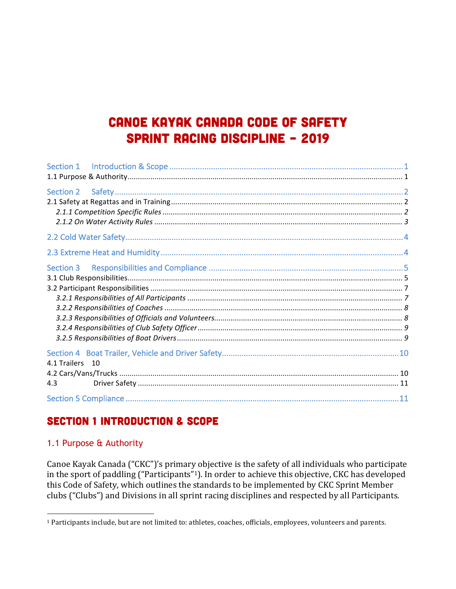# **CANOE KAYAK CANADA CODE OF SAFETY SPRINT RACING DISCIPLINE - 2019**

| 4.1 Trailers 10 |  |
|-----------------|--|
|                 |  |
| 4.3             |  |
|                 |  |

## **SECTION 1 INTRODUCTION & SCOPE**

#### 1.1 Purpose & Authority

Canoe Kayak Canada ("CKC")'s primary objective is the safety of all individuals who participate in the sport of paddling ("Participants"1). In order to achieve this objective, CKC has developed this Code of Safety, which outlines the standards to be implemented by CKC Sprint Member clubs ("Clubs") and Divisions in all sprint racing disciplines and respected by all Participants.

<sup>&</sup>lt;sup>1</sup> Participants include, but are not limited to: athletes, coaches, officials, employees, volunteers and parents.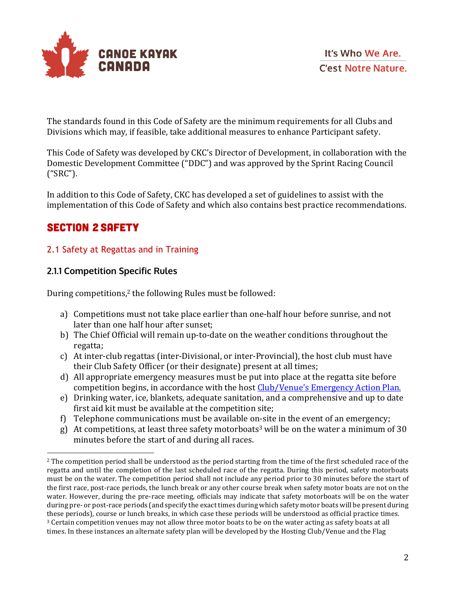

The standards found in this Code of Safety are the minimum requirements for all Clubs and Divisions which may, if feasible, take additional measures to enhance Participant safety.

This Code of Safety was developed by CKC's Director of Development, in collaboration with the Domestic Development Committee ("DDC") and was approved by the Sprint Racing Council ("SRC"). 

In addition to this Code of Safety, CKC has developed a set of guidelines to assist with the implementation of this Code of Safety and which also contains best practice recommendations.

## Section 2 Safety

#### 2.1 Safety at Regattas and in Training

#### **2.1.1 Competition Specific Rules**

 

During competitions,<sup>2</sup> the following Rules must be followed:

- a) Competitions must not take place earlier than one-half hour before sunrise, and not later than one half hour after sunset;
- b) The Chief Official will remain up-to-date on the weather conditions throughout the regatta;
- c) At inter-club regattas (inter-Divisional, or inter-Provincial), the host club must have their Club Safety Officer (or their designate) present at all times;
- d) All appropriate emergency measures must be put into place at the regatta site before competition begins, in accordance with the host Club/Venue's Emergency Action Plan.
- e) Drinking water, ice, blankets, adequate sanitation, and a comprehensive and up to date first aid kit must be available at the competition site;
- f) Telephone communications must be available on-site in the event of an emergency;
- g) At competitions, at least three safety motorboats<sup>3</sup> will be on the water a minimum of 30 minutes before the start of and during all races.

 $2$  The competition period shall be understood as the period starting from the time of the first scheduled race of the regatta and until the completion of the last scheduled race of the regatta. During this period, safety motorboats must be on the water. The competition period shall not include any period prior to 30 minutes before the start of the first race, post-race periods, the lunch break or any other course break when safety motor boats are not on the water. However, during the pre-race meeting, officials may indicate that safety motorboats will be on the water during pre- or post-race periods (and specify the exact times during which safety motor boats will be present during these periods), course or lunch breaks, in which case these periods will be understood as official practice times.  $3$  Certain competition venues may not allow three motor boats to be on the water acting as safety boats at all times. In these instances an alternate safety plan will be developed by the Hosting Club/Venue and the Flag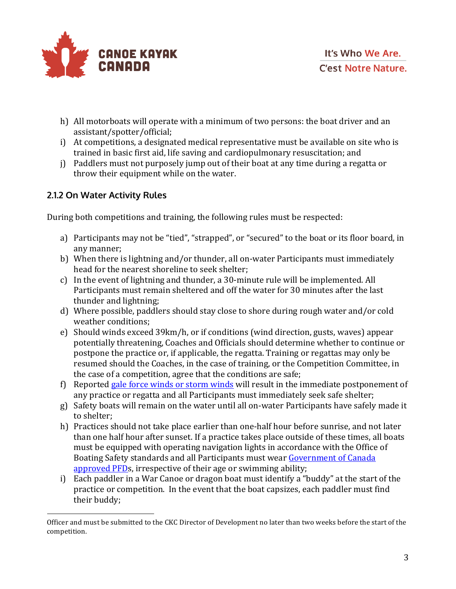

- h) All motorboats will operate with a minimum of two persons: the boat driver and an assistant/spotter/official;
- i) At competitions, a designated medical representative must be available on site who is trained in basic first aid, life saving and cardiopulmonary resuscitation; and
- j) Paddlers must not purposely jump out of their boat at any time during a regatta or throw their equipment while on the water.

#### **2.1.2 On Water Activity Rules**

During both competitions and training, the following rules must be respected:

- a) Participants may not be "tied", "strapped", or "secured" to the boat or its floor board, in any manner;
- b) When there is lightning and/or thunder, all on-water Participants must immediately head for the nearest shoreline to seek shelter;
- c) In the event of lightning and thunder, a 30-minute rule will be implemented. All Participants must remain sheltered and off the water for 30 minutes after the last thunder and lightning;
- d) Where possible, paddlers should stay close to shore during rough water and/or cold weather conditions;
- e) Should winds exceed 39km/h, or if conditions (wind direction, gusts, waves) appear potentially threatening, Coaches and Officials should determine whether to continue or postpone the practice or, if applicable, the regatta. Training or regattas may only be resumed should the Coaches, in the case of training, or the Competition Committee, in the case of a competition, agree that the conditions are safe;
- f) Reported gale force winds or storm winds will result in the immediate postponement of any practice or regatta and all Participants must immediately seek safe shelter;
- g) Safety boats will remain on the water until all on-water Participants have safely made it to shelter:
- h) Practices should not take place earlier than one-half hour before sunrise, and not later than one half hour after sunset. If a practice takes place outside of these times, all boats must be equipped with operating navigation lights in accordance with the Office of Boating Safety standards and all Participants must wear Government of Canada approved PFDs, irrespective of their age or swimming ability;
- i) Each paddler in a War Canoe or dragon boat must identify a "buddy" at the start of the practice or competition. In the event that the boat capsizes, each paddler must find their buddy;

 Officer and must be submitted to the CKC Director of Development no later than two weeks before the start of the competition.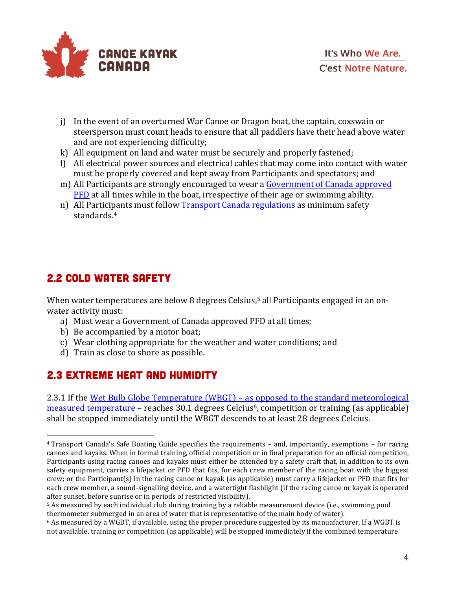

- j) In the event of an overturned War Canoe or Dragon boat, the captain, coxswain or steersperson must count heads to ensure that all paddlers have their head above water and are not experiencing difficulty;
- k) All equipment on land and water must be securely and properly fastened;
- l) All electrical power sources and electrical cables that may come into contact with water must be properly covered and kept away from Participants and spectators; and
- m) All Participants are strongly encouraged to wear a Government of Canada approved PFD at all times while in the boat, irrespective of their age or swimming ability.
- n) All Participants must follow Transport Canada regulations as minimum safety standards.4

## 2.2 Cold Water Safety

 

When water temperatures are below 8 degrees Celsius,<sup>5</sup> all Participants engaged in an onwater activity must:

- a) Must wear a Government of Canada approved PFD at all times;
- b) Be accompanied by a motor boat;
- c) Wear clothing appropriate for the weather and water conditions; and
- d) Train as close to shore as possible.

## 2.3 Extreme Heat and Humidity

2.3.1 If the Wet Bulb Globe Temperature (WBGT) – as opposed to the standard meteorological  $measured$  temperature – reaches 30.1 degrees Celcius<sup>6</sup>, competition or training (as applicable) shall be stopped immediately until the WBGT descends to at least 28 degrees Celcius.

<sup>&</sup>lt;sup>4</sup> Transport Canada's Safe Boating Guide specifies the requirements – and, importantly, exemptions – for racing canoes and kayaks. When in formal training, official competition or in final preparation for an official competition, Participants using racing canoes and kayaks must either be attended by a safety craft that, in addition to its own safety equipment, carries a lifejacket or PFD that fits, for each crew member of the racing boat with the biggest crew; or the Participant(s) in the racing canoe or kayak (as applicable) must carry a lifejacket or PFD that fits for each crew member, a sound-signalling device, and a watertight flashlight (if the racing canoe or kayak is operated after sunset, before sunrise or in periods of restricted visibility).

 $5$  As measured by each individual club during training by a reliable measurement device (i.e., swimming pool thermometer submerged in an area of water that is representative of the main body of water).

 $6$  As measured by a WGBT, if available, using the proper procedure suggested by its manuafacturer. If a WGBT is not available, training or competition (as applicable) will be stopped immediately if the combined temperature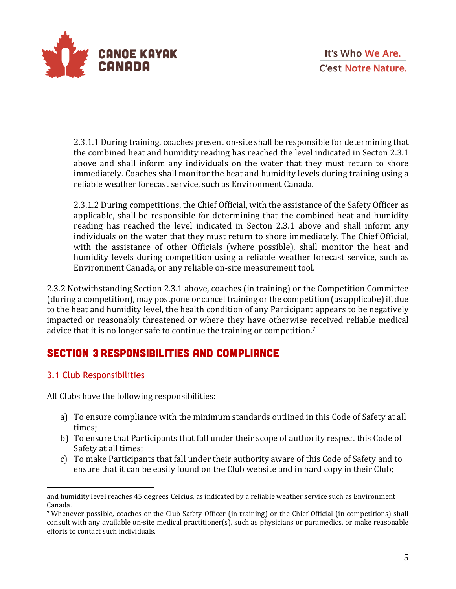

2.3.1.1 During training, coaches present on-site shall be responsible for determining that the combined heat and humidity reading has reached the level indicated in Secton 2.3.1 above and shall inform any individuals on the water that they must return to shore immediately. Coaches shall monitor the heat and humidity levels during training using a reliable weather forecast service, such as Environment Canada.

2.3.1.2 During competitions, the Chief Official, with the assistance of the Safety Officer as applicable, shall be responsible for determining that the combined heat and humidity reading has reached the level indicated in Secton 2.3.1 above and shall inform any individuals on the water that they must return to shore immediately. The Chief Official, with the assistance of other Officials (where possible), shall monitor the heat and humidity levels during competition using a reliable weather forecast service, such as Environment Canada, or any reliable on-site measurement tool.

2.3.2 Notwithstanding Section 2.3.1 above, coaches (in training) or the Competition Committee (during a competition), may postpone or cancel training or the competition (as applicabe) if, due to the heat and humidity level, the health condition of any Participant appears to be negatively impacted or reasonably threatened or where they have otherwise received reliable medical advice that it is no longer safe to continue the training or competition.<sup>7</sup>

## Section 3 Responsibilities and Compliance

#### 3.1 Club Responsibilities

 

All Clubs have the following responsibilities:

- a) To ensure compliance with the minimum standards outlined in this Code of Safety at all times;
- b) To ensure that Participants that fall under their scope of authority respect this Code of Safety at all times;
- c) To make Participants that fall under their authority aware of this Code of Safety and to ensure that it can be easily found on the Club website and in hard copy in their Club;

and humidity level reaches 45 degrees Celcius, as indicated by a reliable weather service such as Environment Canada. 

<sup>&</sup>lt;sup>7</sup> Whenever possible, coaches or the Club Safety Officer (in training) or the Chief Official (in competitions) shall consult with any available on-site medical practitioner(s), such as physicians or paramedics, or make reasonable efforts to contact such individuals.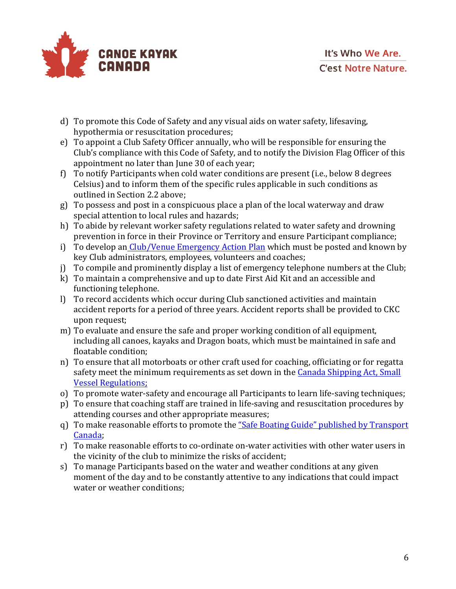

- d) To promote this Code of Safety and any visual aids on water safety, lifesaving, hypothermia or resuscitation procedures;
- e) To appoint a Club Safety Officer annually, who will be responsible for ensuring the Club's compliance with this Code of Safety, and to notify the Division Flag Officer of this appointment no later than June 30 of each year;
- f) To notify Participants when cold water conditions are present (i.e., below 8 degrees Celsius) and to inform them of the specific rules applicable in such conditions as outlined in Section 2.2 above;
- $g$ ) To possess and post in a conspicuous place a plan of the local waterway and draw special attention to local rules and hazards;
- h) To abide by relevant worker safety regulations related to water safety and drowning prevention in force in their Province or Territory and ensure Participant compliance;
- i) To develop an Club/Venue Emergency Action Plan which must be posted and known by key Club administrators, employees, volunteers and coaches;
- j) To compile and prominently display a list of emergency telephone numbers at the Club;
- k) To maintain a comprehensive and up to date First Aid Kit and an accessible and functioning telephone.
- l) To record accidents which occur during Club sanctioned activities and maintain accident reports for a period of three years. Accident reports shall be provided to CKC upon request;
- m) To evaluate and ensure the safe and proper working condition of all equipment, including all canoes, kayaks and Dragon boats, which must be maintained in safe and floatable condition;
- n) To ensure that all motorboats or other craft used for coaching, officiating or for regatta safety meet the minimum requirements as set down in the Canada Shipping Act, Small **Vessel Regulations:**
- o) To promote water-safety and encourage all Participants to learn life-saving techniques;
- p) To ensure that coaching staff are trained in life-saving and resuscitation procedures by attending courses and other appropriate measures;
- q) To make reasonable efforts to promote the "Safe Boating Guide" published by Transport Canada;
- r) To make reasonable efforts to co-ordinate on-water activities with other water users in the vicinity of the club to minimize the risks of accident;
- s) To manage Participants based on the water and weather conditions at any given moment of the day and to be constantly attentive to any indications that could impact water or weather conditions;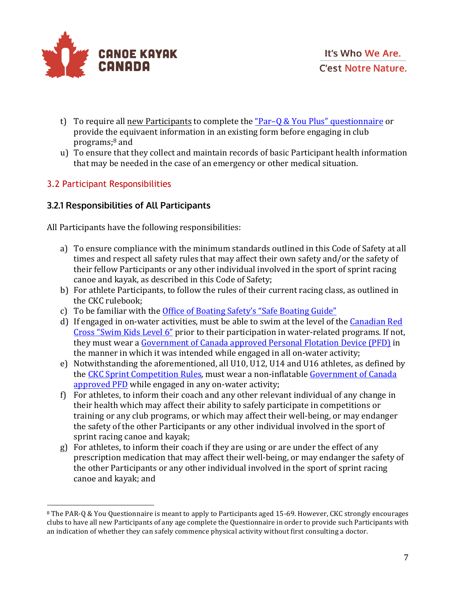

- t) To require all new Participants to complete the  $"Par-Q & You Plus" questionnaire or$ provide the equivaent information in an existing form before engaging in club programs;8 and
- u) To ensure that they collect and maintain records of basic Participant health information that may be needed in the case of an emergency or other medical situation.

#### 3.2 Participant Responsibilities

#### **3.2.1 Responsibilities of All Participants**

All Participants have the following responsibilities:

- a) To ensure compliance with the minimum standards outlined in this Code of Safety at all times and respect all safety rules that may affect their own safety and/or the safety of their fellow Participants or any other individual involved in the sport of sprint racing canoe and kayak, as described in this Code of Safety;
- b) For athlete Participants, to follow the rules of their current racing class, as outlined in the CKC rulebook;
- c) To be familiar with the Office of Boating Safety's "Safe Boating Guide"
- d) If engaged in on-water activities, must be able to swim at the level of the Canadian Red Cross "Swim Kids Level 6" prior to their participation in water-related programs. If not, they must wear a Government of Canada approved Personal Flotation Device (PFD) in the manner in which it was intended while engaged in all on-water activity;
- e) Notwithstanding the aforementioned, all U10, U12, U14 and U16 athletes, as defined by the CKC Sprint Competition Rules, must wear a non-inflatable Government of Canada approved PFD while engaged in any on-water activity;
- f) For athletes, to inform their coach and any other relevant individual of any change in their health which may affect their ability to safely participate in competitions or training or any club programs, or which may affect their well-being, or may endanger the safety of the other Participants or any other individual involved in the sport of sprint racing canoe and kayak;
- $g$ ) For athletes, to inform their coach if they are using or are under the effect of any prescription medication that may affect their well-being, or may endanger the safety of the other Participants or any other individual involved in the sport of sprint racing canoe and kayak; and

 <sup>8</sup> The PAR-Q & You Questionnaire is meant to apply to Participants aged 15-69. However, CKC strongly encourages clubs to have all new Participants of any age complete the Questionnaire in order to provide such Participants with an indication of whether they can safely commence physical activity without first consulting a doctor.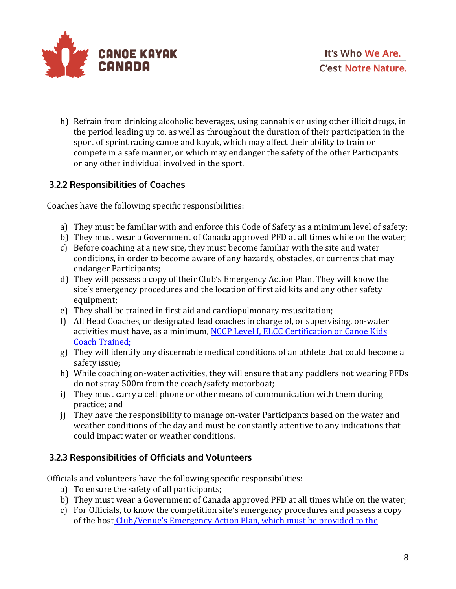

h) Refrain from drinking alcoholic beverages, using cannabis or using other illicit drugs, in the period leading up to, as well as throughout the duration of their participation in the sport of sprint racing canoe and kayak, which may affect their ability to train or compete in a safe manner, or which may endanger the safety of the other Participants or any other individual involved in the sport.

#### **3.2.2 Responsibilities of Coaches**

Coaches have the following specific responsibilities:

- a) They must be familiar with and enforce this Code of Safety as a minimum level of safety;
- b) They must wear a Government of Canada approved PFD at all times while on the water;
- c) Before coaching at a new site, they must become familiar with the site and water conditions, in order to become aware of any hazards, obstacles, or currents that may endanger Participants;
- d) They will possess a copy of their Club's Emergency Action Plan. They will know the site's emergency procedures and the location of first aid kits and any other safety equipment;
- e) They shall be trained in first aid and cardiopulmonary resuscitation;
- f) All Head Coaches, or designated lead coaches in charge of, or supervising, on-water activities must have, as a minimum, NCCP Level I, ELCC Certification or Canoe Kids Coach Trained;
- $g$ ) They will identify any discernable medical conditions of an athlete that could become a safety issue;
- h) While coaching on-water activities, they will ensure that any paddlers not wearing PFDs do not stray 500m from the coach/safety motorboat;
- i) They must carry a cell phone or other means of communication with them during practice; and
- j) They have the responsibility to manage on-water Participants based on the water and weather conditions of the day and must be constantly attentive to any indications that could impact water or weather conditions.

#### **3.2.3 Responsibilities of Officials and Volunteers**

Officials and volunteers have the following specific responsibilities:

- a) To ensure the safety of all participants;
- b) They must wear a Government of Canada approved PFD at all times while on the water;
- c) For Officials, to know the competition site's emergency procedures and possess a copy of the host Club/Venue's Emergency Action Plan, which must be provided to the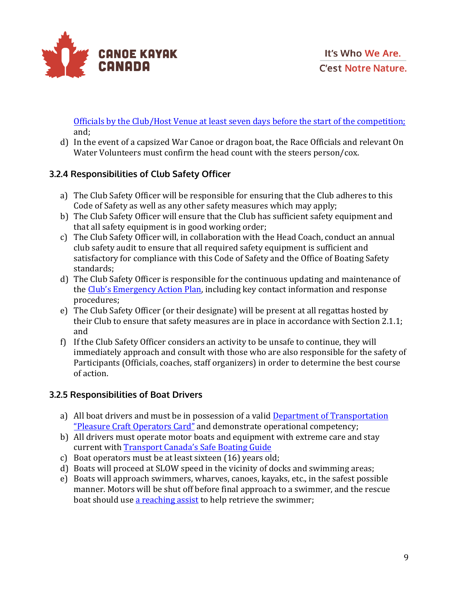

Officials by the Club/Host Venue at least seven days before the start of the competition; and;

d) In the event of a capsized War Canoe or dragon boat, the Race Officials and relevant On Water Volunteers must confirm the head count with the steers person/cox.

#### **3.2.4 Responsibilities of Club Safety Officer**

- a) The Club Safety Officer will be responsible for ensuring that the Club adheres to this Code of Safety as well as any other safety measures which may apply;
- b) The Club Safety Officer will ensure that the Club has sufficient safety equipment and that all safety equipment is in good working order;
- c) The Club Safety Officer will, in collaboration with the Head Coach, conduct an annual club safety audit to ensure that all required safety equipment is sufficient and satisfactory for compliance with this Code of Safety and the Office of Boating Safety standards;
- d) The Club Safety Officer is responsible for the continuous updating and maintenance of the Club's Emergency Action Plan, including key contact information and response procedures;
- e) The Club Safety Officer (or their designate) will be present at all regattas hosted by their Club to ensure that safety measures are in place in accordance with Section 2.1.1; and
- f) If the Club Safety Officer considers an activity to be unsafe to continue, they will immediately approach and consult with those who are also responsible for the safety of Participants (Officials, coaches, staff organizers) in order to determine the best course of action.

#### **3.2.5 Responsibilities of Boat Drivers**

- a) All boat drivers and must be in possession of a valid Department of Transportation "Pleasure Craft Operators Card" and demonstrate operational competency;
- b) All drivers must operate motor boats and equipment with extreme care and stay current with Transport Canada's Safe Boating Guide
- c) Boat operators must be at least sixteen  $(16)$  years old;
- d) Boats will proceed at SLOW speed in the vicinity of docks and swimming areas;
- e) Boats will approach swimmers, wharves, canoes, kayaks, etc., in the safest possible manner. Motors will be shut off before final approach to a swimmer, and the rescue boat should use a reaching assist to help retrieve the swimmer;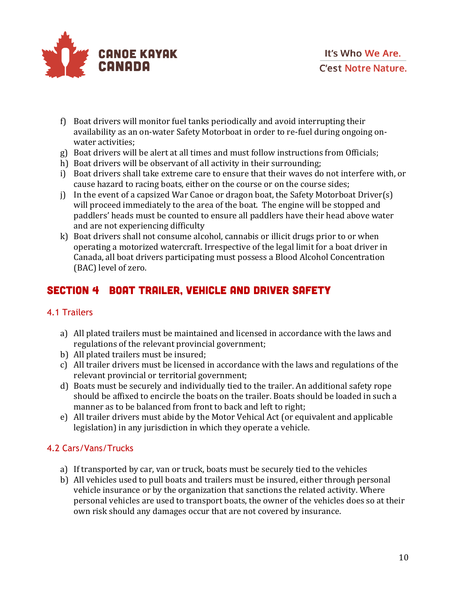

- f) Boat drivers will monitor fuel tanks periodically and avoid interrupting their availability as an on-water Safety Motorboat in order to re-fuel during ongoing onwater activities:
- g) Boat drivers will be alert at all times and must follow instructions from Officials;
- h) Boat drivers will be observant of all activity in their surrounding;
- i) Boat drivers shall take extreme care to ensure that their waves do not interfere with, or cause hazard to racing boats, either on the course or on the course sides;
- j) In the event of a capsized War Canoe or dragon boat, the Safety Motorboat Driver(s) will proceed immediately to the area of the boat. The engine will be stopped and paddlers' heads must be counted to ensure all paddlers have their head above water and are not experiencing difficulty
- k) Boat drivers shall not consume alcohol, cannabis or illicit drugs prior to or when operating a motorized watercraft. Irrespective of the legal limit for a boat driver in Canada, all boat drivers participating must possess a Blood Alcohol Concentration (BAC) level of zero.

## Section 4 Boat Trailer, Vehicle and Driver Safety

#### 4.1 Trailers

- a) All plated trailers must be maintained and licensed in accordance with the laws and regulations of the relevant provincial government;
- b) All plated trailers must be insured;
- c) All trailer drivers must be licensed in accordance with the laws and regulations of the relevant provincial or territorial government;
- d) Boats must be securely and individually tied to the trailer. An additional safety rope should be affixed to encircle the boats on the trailer. Boats should be loaded in such a manner as to be balanced from front to back and left to right;
- e) All trailer drivers must abide by the Motor Vehical Act (or equivalent and applicable legislation) in any jurisdiction in which they operate a vehicle.

#### 4.2 Cars/Vans/Trucks

- a) If transported by car, van or truck, boats must be securely tied to the vehicles
- b) All vehicles used to pull boats and trailers must be insured, either through personal vehicle insurance or by the organization that sanctions the related activity. Where personal vehicles are used to transport boats, the owner of the vehicles does so at their own risk should any damages occur that are not covered by insurance.